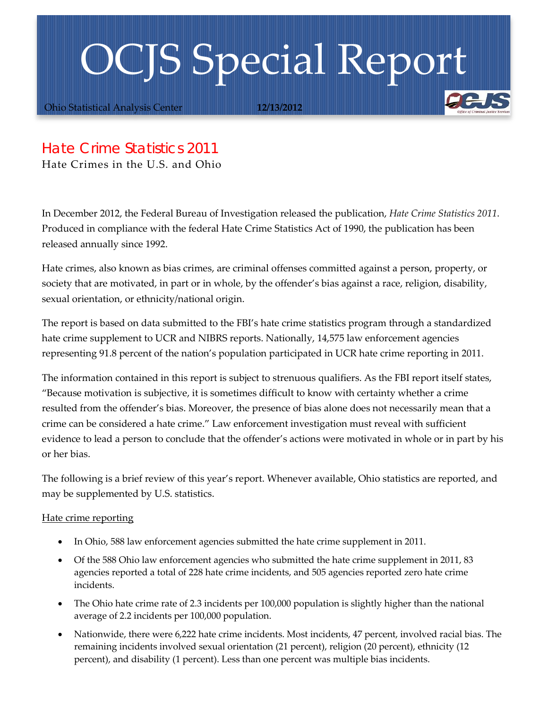## OCJS Special Report

Ohio Statistical Analysis Center **12/13/2012**

## *Hate Crime Statistics 2011*

Hate Crimes in the U.S. and Ohio

In December 2012, the Federal Bureau of Investigation released the publication, *Hate Crime Statistics 2011*. Produced in compliance with the federal Hate Crime Statistics Act of 1990, the publication has been released annually since 1992.

Hate crimes, also known as bias crimes, are criminal offenses committed against a person, property, or society that are motivated, in part or in whole, by the offender's bias against a race, religion, disability, sexual orientation, or ethnicity/national origin.

The report is based on data submitted to the FBI's hate crime statistics program through a standardized hate crime supplement to UCR and NIBRS reports. Nationally, 14,575 law enforcement agencies representing 91.8 percent of the nation's population participated in UCR hate crime reporting in 2011.

The information contained in this report is subject to strenuous qualifiers. As the FBI report itself states, "Because motivation is subjective, it is sometimes difficult to know with certainty whether a crime resulted from the offender's bias. Moreover, the presence of bias alone does not necessarily mean that a crime can be considered a hate crime." Law enforcement investigation must reveal with sufficient evidence to lead a person to conclude that the offender's actions were motivated in whole or in part by his or her bias.

The following is a brief review of this year's report. Whenever available, Ohio statistics are reported, and may be supplemented by U.S. statistics.

## Hate crime reporting

- In Ohio, 588 law enforcement agencies submitted the hate crime supplement in 2011.
- Of the 588 Ohio law enforcement agencies who submitted the hate crime supplement in 2011, 83 agencies reported a total of 228 hate crime incidents, and 505 agencies reported zero hate crime incidents.
- The Ohio hate crime rate of 2.3 incidents per 100,000 population is slightly higher than the national average of 2.2 incidents per 100,000 population.
- <span id="page-0-0"></span>• Nationwide, there were 6,222 hate crime incidents. Most incidents, 47 percent, involved racial bias. The remaining incidents involved sexual orientation (21 percent), religion (20 percent), ethnicity (12 percent), and disability (1 percent). Less than one percent was multiple bias incidents.